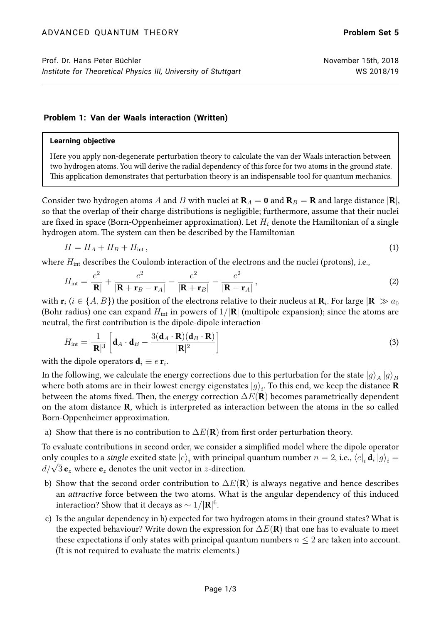## **Problem 1: Van der Waals interaction (Written)**

## **Learning objective**

Here you apply non-degenerate perturbation theory to calculate the van der Waals interaction between two hydrogen atoms. You will derive the radial dependency of this force for two atoms in the ground state. This application demonstrates that perturbation theory is an indispensable tool for quantum mechanics.

Consider two hydrogen atoms A and B with nuclei at  $\mathbf{R}_A = \mathbf{0}$  and  $\mathbf{R}_B = \mathbf{R}$  and large distance  $|\mathbf{R}|$ , so that the overlap of their charge distributions is negligible; furthermore, assume that their nuclei are fixed in space (Born-Oppenheimer approximation). Let  $H_i$  denote the Hamiltonian of a single hydrogen atom. The system can then be described by the Hamiltonian

$$
H = H_A + H_B + H_{\text{int}}\,,\tag{1}
$$

where  $H_{\text{int}}$  describes the Coulomb interaction of the electrons and the nuclei (protons), i.e.,

$$
H_{\rm int} = \frac{e^2}{|\mathbf{R}|} + \frac{e^2}{|\mathbf{R} + \mathbf{r}_B - \mathbf{r}_A|} - \frac{e^2}{|\mathbf{R} + \mathbf{r}_B|} - \frac{e^2}{|\mathbf{R} - \mathbf{r}_A|},
$$
\n(2)

with  ${\bf r}_i$   $(i\in\{A,B\})$  the position of the electrons relative to their nucleus at  ${\bf R}_i.$  For large  $|{\bf R}|\gg a_0$ (Bohr radius) one can expand  $H_{int}$  in powers of  $1/|\mathbf{R}|$  (multipole expansion); since the atoms are neutral, the first contribution is the dipole-dipole interaction

$$
H_{\rm int} = \frac{1}{|\mathbf{R}|^3} \left[ \mathbf{d}_A \cdot \mathbf{d}_B - \frac{3(\mathbf{d}_A \cdot \mathbf{R})(\mathbf{d}_B \cdot \mathbf{R})}{|\mathbf{R}|^2} \right]
$$
(3)

with the dipole operators  $\mathbf{d}_i \equiv e \, \mathbf{r}_i$ .

In the following, we calculate the energy corrections due to this perturbation for the state  $\ket{g}_A\ket{g}_B$ where both atoms are in their lowest energy eigenstates  $|g\rangle_i.$  To this end, we keep the distance  ${\bf R}$ between the atoms fixed. Then, the energy correction  $\Delta E(\mathbf{R})$  becomes parametrically dependent on the atom distance R, which is interpreted as interaction between the atoms in the so called Born-Oppenheimer approximation.

a) Show that there is no contribution to  $\Delta E(\mathbf{R})$  from first order perturbation theory.

To evaluate contributions in second order, we consider a simplified model where the dipole operator only couples to a single excited state  $|e\rangle_i$  with principal quantum number  $n = 2$ , i.e.,  $\langle e|_i \mathbf{d}_i | g \rangle_i =$  $d/\sqrt{3}\,\mathbf{e}_z$  where  $\mathbf{e}_z$  denotes the unit vector in  $z$ -direction.

- b) Show that the second order contribution to  $\Delta E(\mathbf{R})$  is always negative and hence describes an attractive force between the two atoms. What is the angular dependency of this induced interaction? Show that it decays as  $\sim 1/|\mathbf{R}|^{6}$ .
- c) Is the angular dependency in b) expected for two hydrogen atoms in their ground states? What is the expected behaviour? Write down the expression for  $\Delta E(\mathbf{R})$  that one has to evaluate to meet these expectations if only states with principal quantum numbers  $n \leq 2$  are taken into account. (It is not required to evaluate the matrix elements.)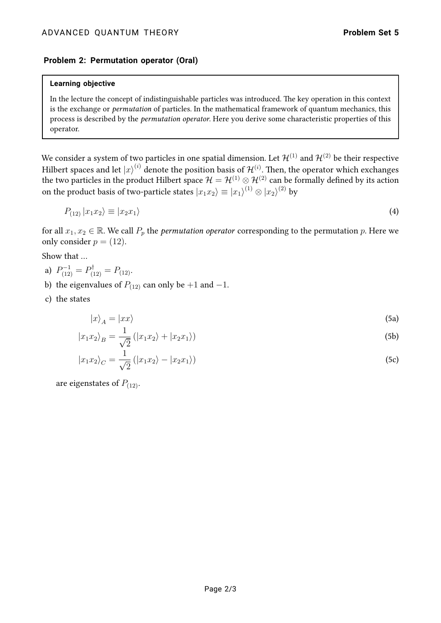## **Problem 2: Permutation operator (Oral)**

#### **Learning objective**

In the lecture the concept of indistinguishable particles was introduced. The key operation in this context is the exchange or permutation of particles. In the mathematical framework of quantum mechanics, this process is described by the *permutation operator*. Here you derive some characteristic properties of this operator.

We consider a system of two particles in one spatial dimension. Let  $\mathcal{H}^{(1)}$  and  $\mathcal{H}^{(2)}$  be their respective Hilbert spaces and let  $\ket{x}^{(i)}$  denote the position basis of  $\mathcal{H}^{(i)}$ . Then, the operator which exchanges the two particles in the product Hilbert space  $\mathcal{H} = \mathcal{H}^{(1)} \otimes \mathcal{H}^{(2)}$  can be formally defined by its action on the product basis of two-particle states  $|x_1x_2\rangle\equiv |x_1\rangle^{(1)}\otimes |x_2\rangle^{(2)}$  by

$$
P_{(12)} |x_1 x_2\rangle \equiv |x_2 x_1\rangle \tag{4}
$$

for all  $x_1, x_2 \in \mathbb{R}$ . We call  $P_p$  the *permutation operator* corresponding to the permutation p. Here we only consider  $p = (12)$ .

Show that …

- a)  $P_{(12)}^{-1} = P_{(12)}^{\dagger} = P_{(12)}$ .
- b) the eigenvalues of  $P_{(12)}$  can only be +1 and -1.
- c) the states

$$
|x\rangle_A = |xx\rangle \tag{5a}
$$

$$
|x_1x_2\rangle_B = \frac{1}{\sqrt{2}} (|x_1x_2\rangle + |x_2x_1\rangle)
$$
 (5b)

$$
|x_1x_2\rangle_C = \frac{1}{\sqrt{2}} (|x_1x_2\rangle - |x_2x_1\rangle)
$$
 (5c)

are eigenstates of  $P_{(12)}$ .